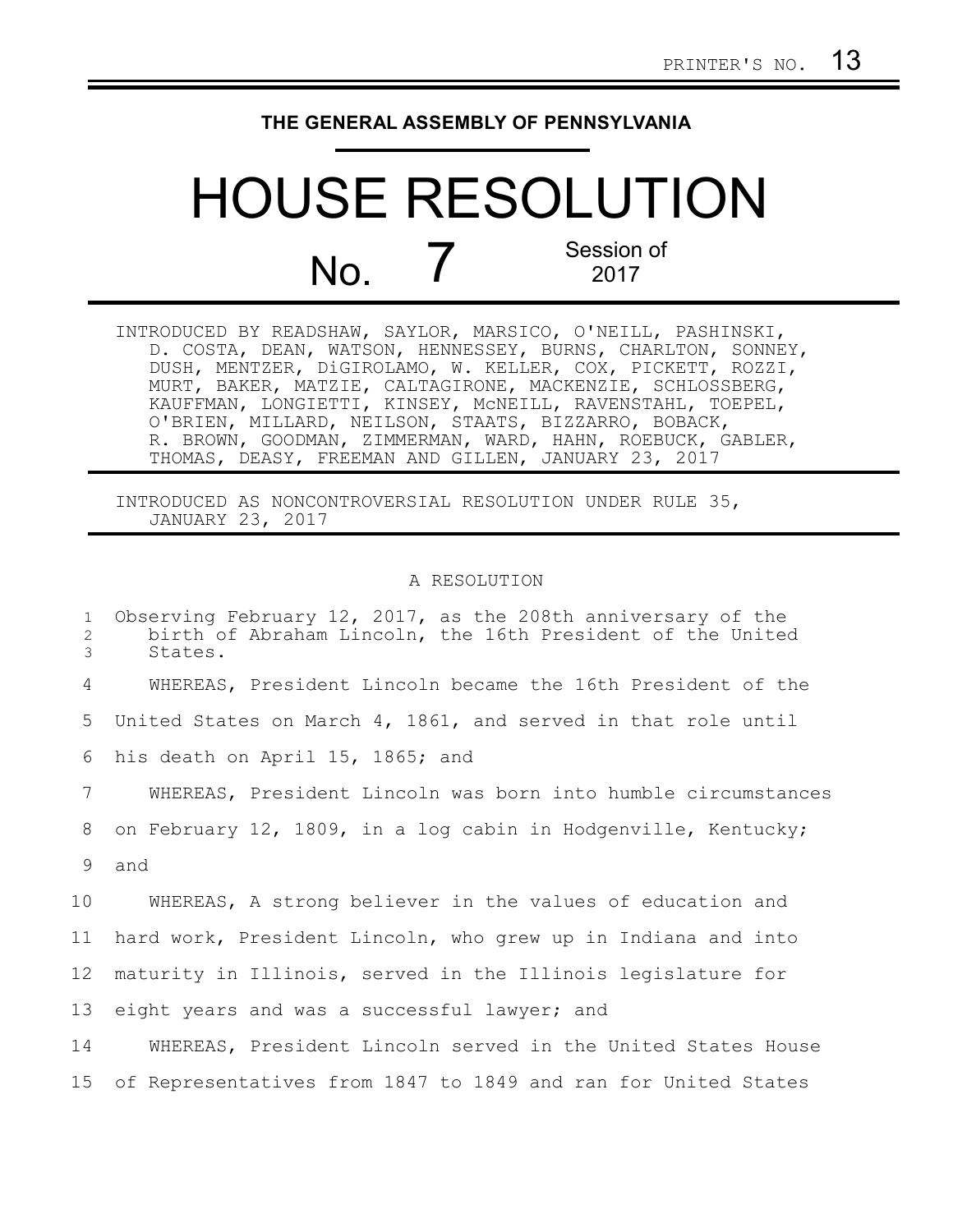## **THE GENERAL ASSEMBLY OF PENNSYLVANIA**

## HOUSE RESOLUTION No. 7 Session of 2017

INTRODUCED BY READSHAW, SAYLOR, MARSICO, O'NEILL, PASHINSKI, D. COSTA, DEAN, WATSON, HENNESSEY, BURNS, CHARLTON, SONNEY, DUSH, MENTZER, DiGIROLAMO, W. KELLER, COX, PICKETT, ROZZI, MURT, BAKER, MATZIE, CALTAGIRONE, MACKENZIE, SCHLOSSBERG, KAUFFMAN, LONGIETTI, KINSEY, McNEILL, RAVENSTAHL, TOEPEL, O'BRIEN, MILLARD, NEILSON, STAATS, BIZZARRO, BOBACK, R. BROWN, GOODMAN, ZIMMERMAN, WARD, HAHN, ROEBUCK, GABLER, THOMAS, DEASY, FREEMAN AND GILLEN, JANUARY 23, 2017

INTRODUCED AS NONCONTROVERSIAL RESOLUTION UNDER RULE 35, JANUARY 23, 2017

## A RESOLUTION

| $\mathbf{1}$<br>2<br>3 | Observing February 12, 2017, as the 208th anniversary of the<br>birth of Abraham Lincoln, the 16th President of the United<br>States. |
|------------------------|---------------------------------------------------------------------------------------------------------------------------------------|
| 4                      | WHEREAS, President Lincoln became the 16th President of the                                                                           |
| 5                      | United States on March 4, 1861, and served in that role until                                                                         |
| 6                      | his death on April 15, 1865; and                                                                                                      |
| 7                      | WHEREAS, President Lincoln was born into humble circumstances                                                                         |
| 8                      | on February 12, 1809, in a log cabin in Hodgenville, Kentucky;                                                                        |
| 9                      | and                                                                                                                                   |
| 10                     | WHEREAS, A strong believer in the values of education and                                                                             |
| 11                     | hard work, President Lincoln, who grew up in Indiana and into                                                                         |
| 12                     | maturity in Illinois, served in the Illinois legislature for                                                                          |
| 13                     | eight years and was a successful lawyer; and                                                                                          |
| 14                     | WHEREAS, President Lincoln served in the United States House                                                                          |
| 15                     | of Representatives from 1847 to 1849 and ran for United States                                                                        |